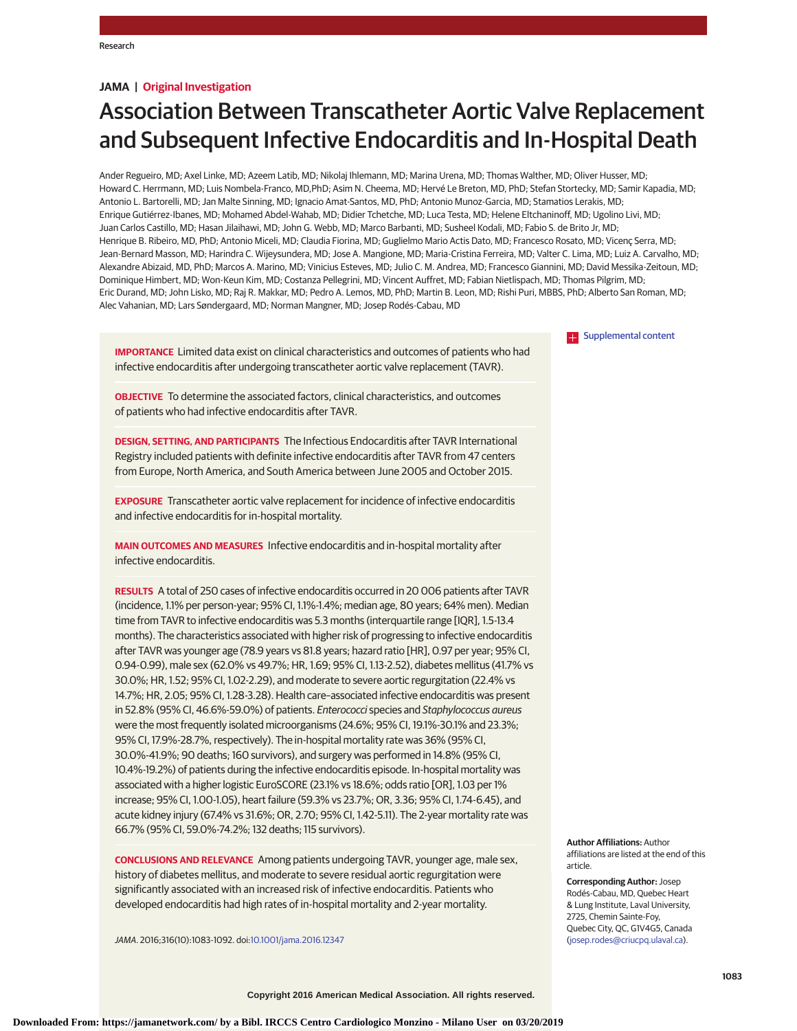# **JAMA | Original Investigation**

# Association Between Transcatheter Aortic Valve Replacement and Subsequent Infective Endocarditis and In-Hospital Death

Ander Regueiro, MD; Axel Linke, MD; Azeem Latib, MD; Nikolaj Ihlemann, MD; Marina Urena, MD; Thomas Walther, MD; Oliver Husser, MD; Howard C. Herrmann, MD; Luis Nombela-Franco, MD,PhD; Asim N. Cheema, MD; Hervé Le Breton, MD, PhD; Stefan Stortecky, MD; Samir Kapadia, MD; Antonio L. Bartorelli, MD; Jan Malte Sinning, MD; Ignacio Amat-Santos, MD, PhD; Antonio Munoz-Garcia, MD; Stamatios Lerakis, MD; Enrique Gutiérrez-Ibanes, MD; Mohamed Abdel-Wahab, MD; Didier Tchetche, MD; Luca Testa, MD; Helene Eltchaninoff, MD; Ugolino Livi, MD; Juan Carlos Castillo, MD; Hasan Jilaihawi, MD; John G. Webb, MD; Marco Barbanti, MD; Susheel Kodali, MD; Fabio S. de Brito Jr, MD; Henrique B. Ribeiro, MD, PhD; Antonio Miceli, MD; Claudia Fiorina, MD; Guglielmo Mario Actis Dato, MD; Francesco Rosato, MD; Vicenç Serra, MD; Jean-Bernard Masson, MD; Harindra C. Wijeysundera, MD; Jose A. Mangione, MD; Maria-Cristina Ferreira, MD; Valter C. Lima, MD; Luiz A. Carvalho, MD; Alexandre Abizaid, MD, PhD; Marcos A. Marino, MD; Vinicius Esteves, MD; Julio C. M. Andrea, MD; Francesco Giannini, MD; David Messika-Zeitoun, MD; Dominique Himbert, MD; Won-Keun Kim, MD; Costanza Pellegrini, MD; Vincent Auffret, MD; Fabian Nietlispach, MD; Thomas Pilgrim, MD; Eric Durand, MD; John Lisko, MD; Raj R. Makkar, MD; Pedro A. Lemos, MD, PhD; Martin B. Leon, MD; Rishi Puri, MBBS, PhD; Alberto San Roman, MD; Alec Vahanian, MD; Lars Søndergaard, MD; Norman Mangner, MD; Josep Rodés-Cabau, MD

**IMPORTANCE** Limited data exist on clinical characteristics and outcomes of patients who had infective endocarditis after undergoing transcatheter aortic valve replacement (TAVR).

**OBJECTIVE** To determine the associated factors, clinical characteristics, and outcomes of patients who had infective endocarditis after TAVR.

**DESIGN, SETTING, AND PARTICIPANTS** The Infectious Endocarditis after TAVR International Registry included patients with definite infective endocarditis after TAVR from 47 centers from Europe, North America, and South America between June 2005 and October 2015.

**EXPOSURE** Transcatheter aortic valve replacement for incidence of infective endocarditis and infective endocarditis for in-hospital mortality.

**MAIN OUTCOMES AND MEASURES** Infective endocarditis and in-hospital mortality after infective endocarditis.

**RESULTS** A total of 250 cases of infective endocarditis occurred in 20 006 patients after TAVR (incidence, 1.1% per person-year; 95% CI, 1.1%-1.4%; median age, 80 years; 64% men). Median time from TAVR to infective endocarditis was 5.3 months (interquartile range [IQR], 1.5-13.4 months). The characteristics associated with higher risk of progressing to infective endocarditis after TAVR was younger age (78.9 years vs 81.8 years; hazard ratio [HR], 0.97 per year; 95% CI, 0.94-0.99), male sex (62.0% vs 49.7%; HR, 1.69; 95% CI, 1.13-2.52), diabetes mellitus (41.7% vs 30.0%; HR, 1.52; 95% CI, 1.02-2.29), and moderate to severe aortic regurgitation (22.4% vs 14.7%; HR, 2.05; 95% CI, 1.28-3.28). Health care–associated infective endocarditis was present in 52.8% (95% CI, 46.6%-59.0%) of patients. Enterococci species and Staphylococcus aureus were the most frequently isolated microorganisms (24.6%; 95% CI, 19.1%-30.1% and 23.3%; 95% CI, 17.9%-28.7%, respectively). The in-hospital mortality rate was 36% (95% CI, 30.0%-41.9%; 90 deaths; 160 survivors), and surgery was performed in 14.8% (95% CI, 10.4%-19.2%) of patients during the infective endocarditis episode. In-hospital mortality was associated with a higher logistic EuroSCORE (23.1% vs 18.6%; odds ratio [OR], 1.03 per 1% increase; 95% CI, 1.00-1.05), heart failure (59.3% vs 23.7%; OR, 3.36; 95% CI, 1.74-6.45), and acute kidney injury (67.4% vs 31.6%; OR, 2.70; 95% CI, 1.42-5.11). The 2-year mortality rate was 66.7% (95% CI, 59.0%-74.2%; 132 deaths; 115 survivors).

**CONCLUSIONS AND RELEVANCE** Among patients undergoing TAVR, younger age, male sex, history of diabetes mellitus, and moderate to severe residual aortic regurgitation were significantly associated with an increased risk of infective endocarditis. Patients who developed endocarditis had high rates of in-hospital mortality and 2-year mortality.

JAMA. 2016;316(10):1083-1092. doi[:10.1001/jama.2016.12347](http://jama.jamanetwork.com/article.aspx?doi=10.1001/jama.2016.12347&utm_campaign=articlePDF%26utm_medium=articlePDFlink%26utm_source=articlePDF%26utm_content=jama.2016.12347)

**[Supplemental content](http://jama.jamanetwork.com/article.aspx?doi=10.1001/jama.2016.12347&utm_campaign=articlePDF%26utm_medium=articlePDFlink%26utm_source=articlePDF%26utm_content=jama.2016.12347)** 

**Author Affiliations:** Author affiliations are listed at the end of this article.

**Corresponding Author:** Josep Rodés-Cabau, MD, Quebec Heart & Lung Institute, Laval University, 2725, Chemin Sainte-Foy, Quebec City, QC, G1V4G5, Canada [\(josep.rodes@criucpq.ulaval.ca\)](mailto:josep.rodes@criucpq.ulaval.ca).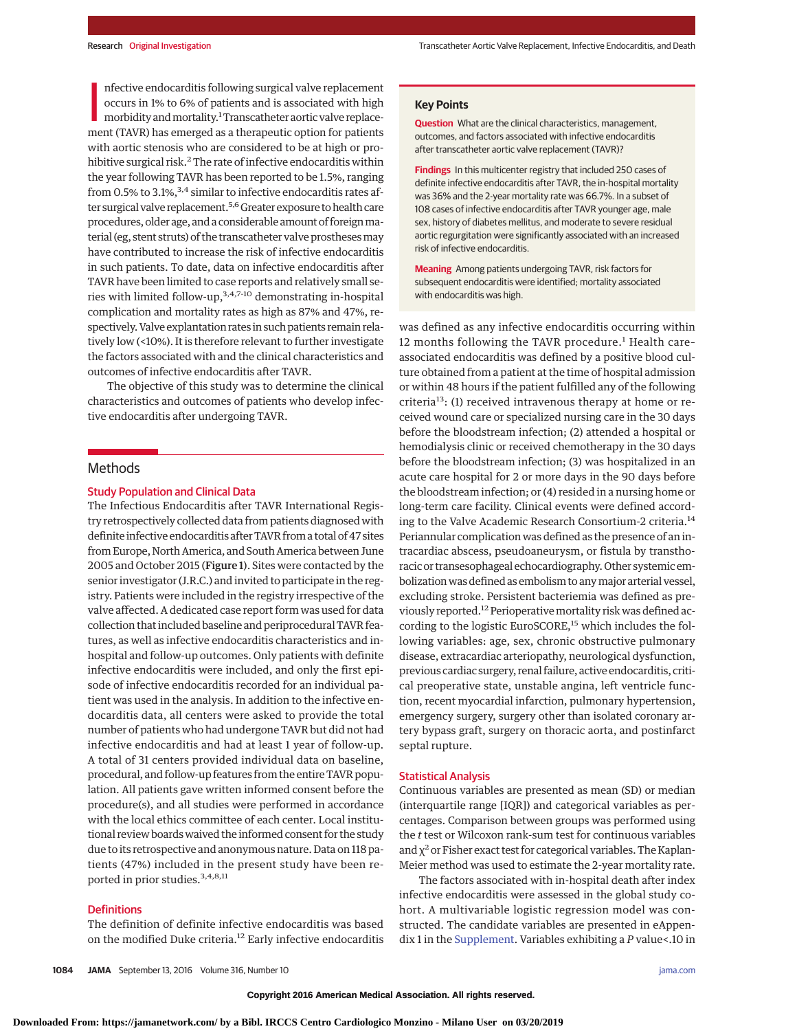nfective endocarditis following surgical valve replacement<br>occurs in 1% to 6% of patients and is associated with high<br>morbidity and mortality.<sup>1</sup> Transcatheter aortic valve replacement (TAVR) has emerged as a therapeutic o nfective endocarditis following surgical valve replacement occurs in 1% to 6% of patients and is associated with high morbidity and mortality.<sup>1</sup> Transcatheter aortic valve replacewith aortic stenosis who are considered to be at high or prohibitive surgical risk.<sup>2</sup> The rate of infective endocarditis within the year following TAVR has been reported to be 1.5%, ranging from 0.5% to 3.1%,  $3.4$  similar to infective endocarditis rates after surgical valve replacement.<sup>5,6</sup> Greater exposure to health care procedures, older age, and a considerable amount of foreign material (eg, stent struts) of the transcatheter valve prostheses may have contributed to increase the risk of infective endocarditis in such patients. To date, data on infective endocarditis after TAVR have been limited to case reports and relatively small series with limited follow-up,  $3,4,7-10$  demonstrating in-hospital complication and mortality rates as high as 87% and 47%, respectively. Valve explantation rates in such patients remain relatively low (<10%). It is therefore relevant to further investigate the factors associated with and the clinical characteristics and outcomes of infective endocarditis after TAVR.

The objective of this study was to determine the clinical characteristics and outcomes of patients who develop infective endocarditis after undergoing TAVR.

# Methods

## Study Population and Clinical Data

The Infectious Endocarditis after TAVR International Registry retrospectively collected data from patients diagnosed with definite infective endocarditis after TAVR from a total of 47 sites from Europe, North America, and South America between June 2005 and October 2015 (Figure 1). Sites were contacted by the senior investigator (J.R.C.) and invited to participate in the registry. Patients were included in the registry irrespective of the valve affected. A dedicated case report form was used for data collection that included baseline and periprocedural TAVR features, as well as infective endocarditis characteristics and inhospital and follow-up outcomes. Only patients with definite infective endocarditis were included, and only the first episode of infective endocarditis recorded for an individual patient was used in the analysis. In addition to the infective endocarditis data, all centers were asked to provide the total number of patients who had undergone TAVR but did not had infective endocarditis and had at least 1 year of follow-up. A total of 31 centers provided individual data on baseline, procedural, and follow-up features from the entire TAVR population. All patients gave written informed consent before the procedure(s), and all studies were performed in accordance with the local ethics committee of each center. Local institutional review boards waived the informed consent for the study due to its retrospective and anonymous nature. Data on 118 patients (47%) included in the present study have been reported in prior studies.3,4,8,11

# **Definitions**

The definition of definite infective endocarditis was based on the modified Duke criteria.<sup>12</sup> Early infective endocarditis **Question** What are the clinical characteristics, management, outcomes, and factors associated with infective endocarditis after transcatheter aortic valve replacement (TAVR)?

**Findings** In this multicenter registry that included 250 cases of definite infective endocarditis after TAVR, the in-hospital mortality was 36% and the 2-year mortality rate was 66.7%. In a subset of 108 cases of infective endocarditis after TAVR younger age, male sex, history of diabetes mellitus, and moderate to severe residual aortic regurgitation were significantly associated with an increased risk of infective endocarditis.

**Meaning** Among patients undergoing TAVR, risk factors for subsequent endocarditis were identified; mortality associated with endocarditis was high.

was defined as any infective endocarditis occurring within 12 months following the TAVR procedure.<sup>1</sup> Health careassociated endocarditis was defined by a positive blood culture obtained from a patient at the time of hospital admission or within 48 hours if the patient fulfilled any of the following criteria<sup>13</sup>: (1) received intravenous therapy at home or received wound care or specialized nursing care in the 30 days before the bloodstream infection; (2) attended a hospital or hemodialysis clinic or received chemotherapy in the 30 days before the bloodstream infection; (3) was hospitalized in an acute care hospital for 2 or more days in the 90 days before the bloodstream infection; or (4) resided in a nursing home or long-term care facility. Clinical events were defined according to the Valve Academic Research Consortium-2 criteria.<sup>14</sup> Periannular complication was defined as the presence of an intracardiac abscess, pseudoaneurysm, or fistula by transthoracic or transesophageal echocardiography. Other systemic embolization was defined as embolism to any major arterial vessel, excluding stroke. Persistent bacteriemia was defined as previously reported.<sup>12</sup> Perioperative mortality risk was defined according to the logistic EuroSCORE,<sup>15</sup> which includes the following variables: age, sex, chronic obstructive pulmonary disease, extracardiac arteriopathy, neurological dysfunction, previous cardiac surgery, renal failure, active endocarditis, critical preoperative state, unstable angina, left ventricle function, recent myocardial infarction, pulmonary hypertension, emergency surgery, surgery other than isolated coronary artery bypass graft, surgery on thoracic aorta, and postinfarct septal rupture.

## Statistical Analysis

Continuous variables are presented as mean (SD) or median (interquartile range [IQR]) and categorical variables as percentages. Comparison between groups was performed using the *t* test or Wilcoxon rank-sum test for continuous variables and  $\chi^2$  or Fisher exact test for categorical variables. The Kaplan-Meier method was used to estimate the 2-year mortality rate.

The factors associated with in-hospital death after index infective endocarditis were assessed in the global study cohort. A multivariable logistic regression model was constructed. The candidate variables are presented in eAppendix 1 in the [Supplement.](http://jama.jamanetwork.com/article.aspx?doi=10.1001/jama.2016.12347&utm_campaign=articlePDF%26utm_medium=articlePDFlink%26utm_source=articlePDF%26utm_content=jama.2016.12347) Variables exhibiting a *P* value<.10 in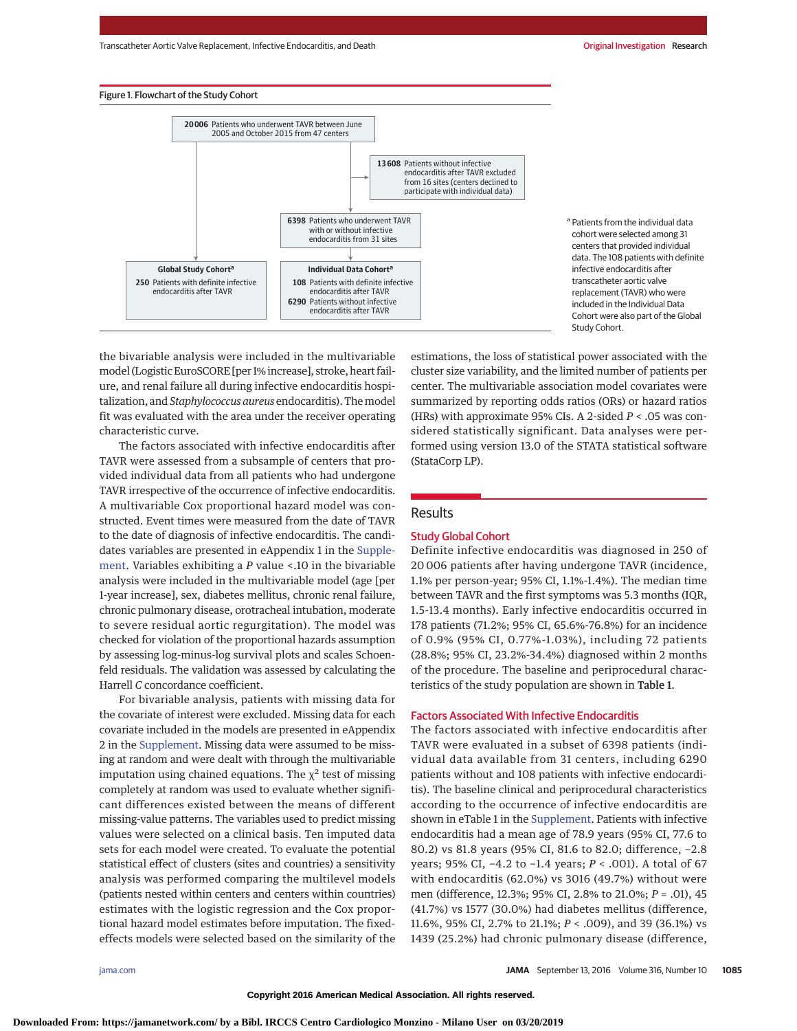### Figure 1. Flowchart of the Study Cohort





the bivariable analysis were included in the multivariable model (Logistic EuroSCORE [per 1% increase], stroke, heart failure, and renal failure all during infective endocarditis hospitalization, and*Staphylococcus aureus* endocarditis). Themodel fit was evaluated with the area under the receiver operating characteristic curve.

The factors associated with infective endocarditis after TAVR were assessed from a subsample of centers that provided individual data from all patients who had undergone TAVR irrespective of the occurrence of infective endocarditis. A multivariable Cox proportional hazard model was constructed. Event times were measured from the date of TAVR to the date of diagnosis of infective endocarditis. The candidates variables are presented in eAppendix 1 in the [Supple](http://jama.jamanetwork.com/article.aspx?doi=10.1001/jama.2016.12347&utm_campaign=articlePDF%26utm_medium=articlePDFlink%26utm_source=articlePDF%26utm_content=jama.2016.12347)[ment.](http://jama.jamanetwork.com/article.aspx?doi=10.1001/jama.2016.12347&utm_campaign=articlePDF%26utm_medium=articlePDFlink%26utm_source=articlePDF%26utm_content=jama.2016.12347) Variables exhibiting a *P* value <.10 in the bivariable analysis were included in the multivariable model (age [per 1-year increase], sex, diabetes mellitus, chronic renal failure, chronic pulmonary disease, orotracheal intubation, moderate to severe residual aortic regurgitation). The model was checked for violation of the proportional hazards assumption by assessing log-minus-log survival plots and scales Schoenfeld residuals. The validation was assessed by calculating the Harrell *C* concordance coefficient.

For bivariable analysis, patients with missing data for the covariate of interest were excluded. Missing data for each covariate included in the models are presented in eAppendix 2 in the [Supplement.](http://jama.jamanetwork.com/article.aspx?doi=10.1001/jama.2016.12347&utm_campaign=articlePDF%26utm_medium=articlePDFlink%26utm_source=articlePDF%26utm_content=jama.2016.12347) Missing data were assumed to be missing at random and were dealt with through the multivariable imputation using chained equations. The  $\chi^2$  test of missing completely at random was used to evaluate whether significant differences existed between the means of different missing-value patterns. The variables used to predict missing values were selected on a clinical basis. Ten imputed data sets for each model were created. To evaluate the potential statistical effect of clusters (sites and countries) a sensitivity analysis was performed comparing the multilevel models (patients nested within centers and centers within countries) estimates with the logistic regression and the Cox proportional hazard model estimates before imputation. The fixedeffects models were selected based on the similarity of the

estimations, the loss of statistical power associated with the cluster size variability, and the limited number of patients per center. The multivariable association model covariates were summarized by reporting odds ratios (ORs) or hazard ratios (HRs) with approximate 95% CIs. A 2-sided *P* < .05 was considered statistically significant. Data analyses were performed using version 13.0 of the STATA statistical software (StataCorp LP).

# Results

# Study Global Cohort

Definite infective endocarditis was diagnosed in 250 of 20 006 patients after having undergone TAVR (incidence, 1.1% per person-year; 95% CI, 1.1%-1.4%). The median time between TAVR and the first symptoms was 5.3 months (IQR, 1.5-13.4 months). Early infective endocarditis occurred in 178 patients (71.2%; 95% CI, 65.6%-76.8%) for an incidence of 0.9% (95% CI, 0.77%-1.03%), including 72 patients (28.8%; 95% CI, 23.2%-34.4%) diagnosed within 2 months of the procedure. The baseline and periprocedural characteristics of the study population are shown in Table 1.

#### Factors Associated With Infective Endocarditis

The factors associated with infective endocarditis after TAVR were evaluated in a subset of 6398 patients (individual data available from 31 centers, including 6290 patients without and 108 patients with infective endocarditis). The baseline clinical and periprocedural characteristics according to the occurrence of infective endocarditis are shown in eTable 1 in the [Supplement.](http://jama.jamanetwork.com/article.aspx?doi=10.1001/jama.2016.12347&utm_campaign=articlePDF%26utm_medium=articlePDFlink%26utm_source=articlePDF%26utm_content=jama.2016.12347) Patients with infective endocarditis had a mean age of 78.9 years (95% CI, 77.6 to 80.2) vs 81.8 years (95% CI, 81.6 to 82.0; difference, −2.8 years; 95% CI, −4.2 to −1.4 years; *P* < .001). A total of 67 with endocarditis (62.0%) vs 3016 (49.7%) without were men (difference, 12.3%; 95% CI, 2.8% to 21.0%; *P* = .01), 45 (41.7%) vs 1577 (30.0%) had diabetes mellitus (difference, 11.6%, 95% CI, 2.7% to 21.1%; *P* < .009), and 39 (36.1%) vs 1439 (25.2%) had chronic pulmonary disease (difference,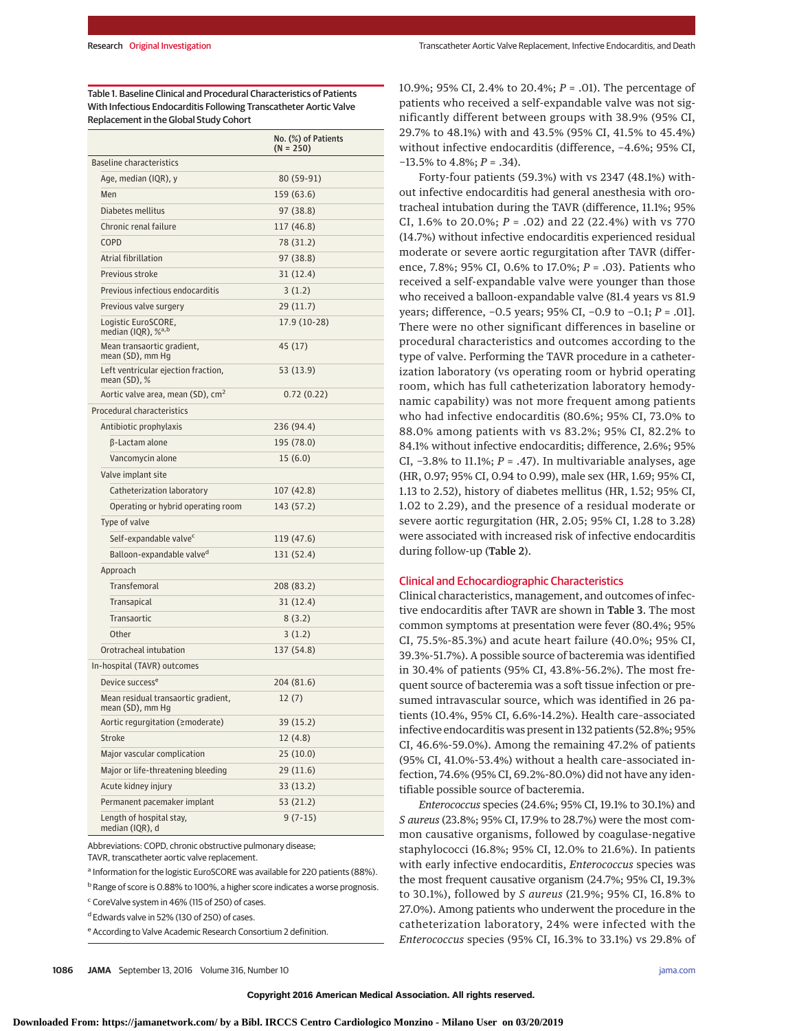Table 1. Baseline Clinical and Procedural Characteristics of Patients With Infectious Endocarditis Following Transcatheter Aortic Valve Replacement in the Global Study Cohort

|                                                          | No. (%) of Patients<br>$(N = 250)$ |
|----------------------------------------------------------|------------------------------------|
| <b>Baseline characteristics</b>                          |                                    |
| Age, median (IQR), y                                     | 80 (59-91)                         |
| Men                                                      | 159 (63.6)                         |
| Diabetes mellitus                                        | 97 (38.8)                          |
| Chronic renal failure                                    | 117 (46.8)                         |
| COPD                                                     | 78 (31.2)                          |
| Atrial fibrillation                                      | 97 (38.8)                          |
| Previous stroke                                          | 31(12.4)                           |
| Previous infectious endocarditis                         | 3(1.2)                             |
| Previous valve surgery                                   | 29 (11.7)                          |
| Logistic EuroSCORE,<br>median (IQR), $\%$ <sup>a,b</sup> | 17.9 (10-28)                       |
| Mean transaortic gradient,<br>mean (SD), mm Hg           | 45 (17)                            |
| Left ventricular ejection fraction,<br>mean $(SD)$ , %   | 53 (13.9)                          |
| Aortic valve area, mean (SD), cm <sup>2</sup>            | 0.72(0.22)                         |
| Procedural characteristics                               |                                    |
| Antibiotic prophylaxis                                   | 236 (94.4)                         |
| β-Lactam alone                                           | 195 (78.0)                         |
| Vancomycin alone                                         | 15(6.0)                            |
| Valve implant site                                       |                                    |
| Catheterization laboratory                               | 107 (42.8)                         |
| Operating or hybrid operating room                       | 143 (57.2)                         |
| Type of valve                                            |                                    |
| Self-expandable valve <sup>c</sup>                       | 119 (47.6)                         |
| Balloon-expandable valve <sup>d</sup>                    | 131 (52.4)                         |
| Approach                                                 |                                    |
| <b>Transfemoral</b>                                      | 208 (83.2)                         |
| Transapical                                              | 31(12.4)                           |
| Transaortic                                              | 8(3.2)                             |
| Other                                                    | 3(1.2)                             |
| Orotracheal intubation                                   | 137 (54.8)                         |
| In-hospital (TAVR) outcomes                              |                                    |
| Device success <sup>e</sup>                              | 204 (81.6)                         |
| Mean residual transaortic gradient,<br>mean (SD), mm Hg  | 12(7)                              |
| Aortic regurgitation (≥moderate)                         | 39 (15.2)                          |
| Stroke                                                   | 12(4.8)                            |
| Major vascular complication                              | 25(10.0)                           |
| Major or life-threatening bleeding                       | 29(11.6)                           |
| Acute kidney injury                                      | 33 (13.2)                          |
| Permanent pacemaker implant                              | 53 (21.2)                          |
| Length of hospital stay,<br>median (IQR), d              | $9(7-15)$                          |

Abbreviations: COPD, chronic obstructive pulmonary disease; TAVR, transcatheter aortic valve replacement.

<sup>a</sup> Information for the logistic EuroSCORE was available for 220 patients (88%).

<sup>b</sup> Range of score is 0.88% to 100%, a higher score indicates a worse prognosis.

<sup>c</sup> CoreValve system in 46% (115 of 250) of cases.

<sup>d</sup> Edwards valve in 52% (130 of 250) of cases.

<sup>e</sup> According to Valve Academic Research Consortium 2 definition.

10.9%; 95% CI, 2.4% to 20.4%; *P* = .01). The percentage of patients who received a self-expandable valve was not significantly different between groups with 38.9% (95% CI, 29.7% to 48.1%) with and 43.5% (95% CI, 41.5% to 45.4%) without infective endocarditis (difference, −4.6%; 95% CI, −13.5% to 4.8%; *P* = .34).

Forty-four patients (59.3%) with vs 2347 (48.1%) without infective endocarditis had general anesthesia with orotracheal intubation during the TAVR (difference, 11.1%; 95% CI, 1.6% to 20.0%; *P* = .02) and 22 (22.4%) with vs 770 (14.7%) without infective endocarditis experienced residual moderate or severe aortic regurgitation after TAVR (difference, 7.8%; 95% CI, 0.6% to 17.0%; *P* = .03). Patients who received a self-expandable valve were younger than those who received a balloon-expandable valve (81.4 years vs 81.9 years; difference, −0.5 years; 95% CI, −0.9 to −0.1; *P* = .01]. There were no other significant differences in baseline or procedural characteristics and outcomes according to the type of valve. Performing the TAVR procedure in a catheterization laboratory (vs operating room or hybrid operating room, which has full catheterization laboratory hemodynamic capability) was not more frequent among patients who had infective endocarditis (80.6%; 95% CI, 73.0% to 88.0% among patients with vs 83.2%; 95% CI, 82.2% to 84.1% without infective endocarditis; difference, 2.6%; 95% CI, −3.8% to 11.1%; *P* = .47). In multivariable analyses, age (HR, 0.97; 95% CI, 0.94 to 0.99), male sex (HR, 1.69; 95% CI, 1.13 to 2.52), history of diabetes mellitus (HR, 1.52; 95% CI, 1.02 to 2.29), and the presence of a residual moderate or severe aortic regurgitation (HR, 2.05; 95% CI, 1.28 to 3.28) were associated with increased risk of infective endocarditis during follow-up (Table 2).

# Clinical and Echocardiographic Characteristics

Clinical characteristics, management, and outcomes of infective endocarditis after TAVR are shown in Table 3. The most common symptoms at presentation were fever (80.4%; 95% CI, 75.5%-85.3%) and acute heart failure (40.0%; 95% CI, 39.3%-51.7%). A possible source of bacteremia was identified in 30.4% of patients (95% CI, 43.8%-56.2%). The most frequent source of bacteremia was a soft tissue infection or presumed intravascular source, which was identified in 26 patients (10.4%, 95% CI, 6.6%-14.2%). Health care–associated infective endocarditis was present in 132 patients (52.8%; 95% CI, 46.6%-59.0%). Among the remaining 47.2% of patients (95% CI, 41.0%-53.4%) without a health care–associated infection, 74.6% (95% CI, 69.2%-80.0%) did not have any identifiable possible source of bacteremia.

*Enterococcus* species (24.6%; 95% CI, 19.1% to 30.1%) and *S aureus* (23.8%; 95% CI, 17.9% to 28.7%) were the most common causative organisms, followed by coagulase-negative staphylococci (16.8%; 95% CI, 12.0% to 21.6%). In patients with early infective endocarditis, *Enterococcus* species was the most frequent causative organism (24.7%; 95% CI, 19.3% to 30.1%), followed by *S aureus* (21.9%; 95% CI, 16.8% to 27.0%). Among patients who underwent the procedure in the catheterization laboratory, 24% were infected with the *Enterococcus* species (95% CI, 16.3% to 33.1%) vs 29.8% of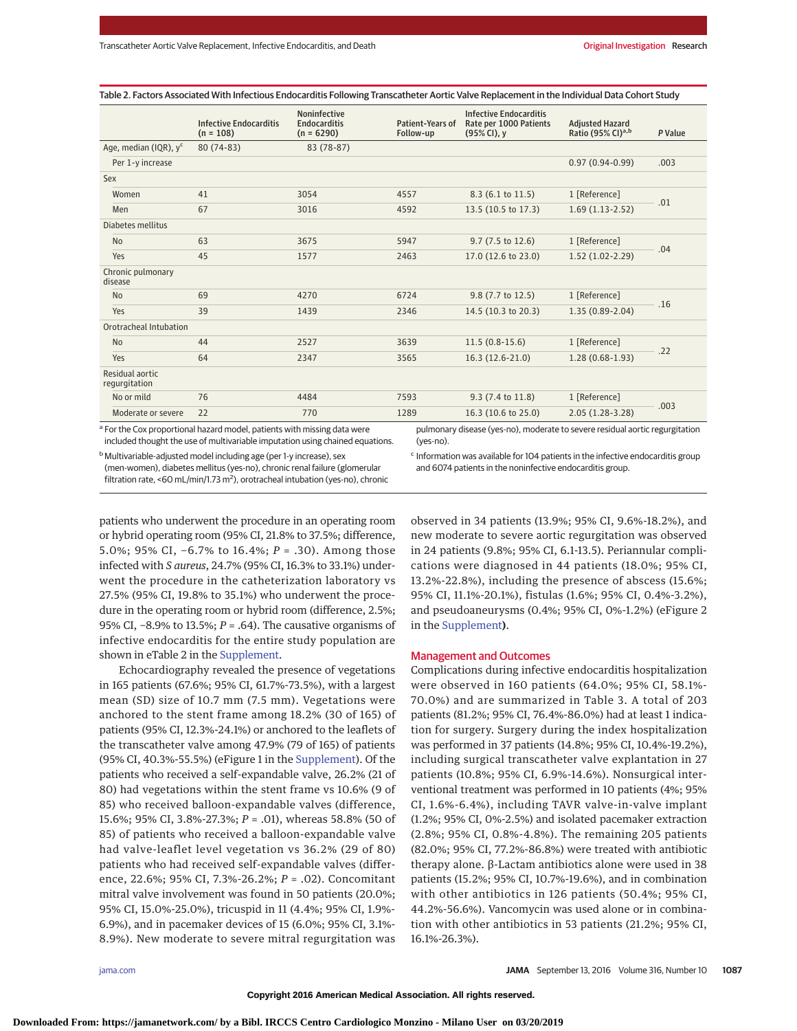|  | Table 2. Factors Associated With Infectious Endocarditis Following Transcatheter Aortic Valve Replacement in the Individual Data Cohort Study |
|--|-----------------------------------------------------------------------------------------------------------------------------------------------|
|--|-----------------------------------------------------------------------------------------------------------------------------------------------|

|                                  | <b>Infective Endocarditis</b>                                                       | <b>Noninfective</b><br><b>Endocarditis</b> | Patient-Years of | <b>Infective Endocarditis</b><br>Rate per 1000 Patients                      | <b>Adjusted Hazard</b>        |         |  |
|----------------------------------|-------------------------------------------------------------------------------------|--------------------------------------------|------------------|------------------------------------------------------------------------------|-------------------------------|---------|--|
|                                  | $(n = 108)$                                                                         | $(n = 6290)$                               | Follow-up        | (95% CI), y                                                                  | Ratio (95% CI) <sup>a,b</sup> | P Value |  |
| Age, median (IQR), $y^c$         | 80 (74-83)                                                                          | 83 (78-87)                                 |                  |                                                                              |                               |         |  |
| Per 1-y increase                 |                                                                                     |                                            |                  |                                                                              | $0.97(0.94-0.99)$             | .003    |  |
| Sex                              |                                                                                     |                                            |                  |                                                                              |                               |         |  |
| Women                            | 41                                                                                  | 3054                                       | 4557             | 8.3 (6.1 to 11.5)                                                            | 1 [Reference]                 |         |  |
| Men                              | 67                                                                                  | 3016                                       | 4592             | 13.5 (10.5 to 17.3)                                                          | $1.69(1.13-2.52)$             | .01     |  |
| Diabetes mellitus                |                                                                                     |                                            |                  |                                                                              |                               |         |  |
| <b>No</b>                        | 63                                                                                  | 3675                                       | 5947             | 9.7 (7.5 to 12.6)                                                            | 1 [Reference]                 | .04     |  |
| Yes                              | 45                                                                                  | 1577                                       | 2463             | 17.0 (12.6 to 23.0)                                                          | $1.52(1.02 - 2.29)$           |         |  |
| Chronic pulmonary<br>disease     |                                                                                     |                                            |                  |                                                                              |                               |         |  |
| <b>No</b>                        | 69                                                                                  | 4270                                       | 6724             | 9.8 (7.7 to 12.5)                                                            | 1 [Reference]                 |         |  |
| Yes                              | 39                                                                                  | 1439                                       | 2346             | 14.5 (10.3 to 20.3)                                                          | 1.35 (0.89-2.04)              | .16     |  |
| Orotracheal Intubation           |                                                                                     |                                            |                  |                                                                              |                               |         |  |
| <b>No</b>                        | 44                                                                                  | 2527                                       | 3639             | $11.5(0.8-15.6)$                                                             | 1 [Reference]                 |         |  |
| Yes                              | 64                                                                                  | 2347                                       | 3565             | 16.3 (12.6-21.0)                                                             | $1.28(0.68-1.93)$             | .22     |  |
| Residual aortic<br>regurgitation |                                                                                     |                                            |                  |                                                                              |                               |         |  |
| No or mild                       | 76                                                                                  | 4484                                       | 7593             | 9.3 (7.4 to 11.8)                                                            | 1 [Reference]                 | .003    |  |
| Moderate or severe               | 22                                                                                  | 770                                        | 1289             | 16.3 (10.6 to 25.0)                                                          | 2.05 (1.28-3.28)              |         |  |
|                                  | <sup>a</sup> For the Cox proportional hazard model, patients with missing data were |                                            |                  | pulmonary disease (yes-no), moderate to severe residual aortic regurgitation |                               |         |  |

<sup>a</sup> For the Cox proportional hazard model, patients with missing data were included thought the use of multivariable imputation using chained equations.

(yes-no). <sup>c</sup> Information was available for 104 patients in the infective endocarditis group

(men-women), diabetes mellitus (yes-no), chronic renal failure (glomerular filtration rate, <60 mL/min/1.73 m<sup>2</sup>), orotracheal intubation (yes-no), chronic

b Multivariable-adjusted model including age (per 1-y increase), sex

and 6074 patients in the noninfective endocarditis group.

patients who underwent the procedure in an operating room or hybrid operating room (95% CI, 21.8% to 37.5%; difference, 5.0%; 95% CI, −6.7% to 16.4%; *P* = .30). Among those infected with *S aureus*, 24.7% (95% CI, 16.3% to 33.1%) underwent the procedure in the catheterization laboratory vs 27.5% (95% CI, 19.8% to 35.1%) who underwent the procedure in the operating room or hybrid room (difference, 2.5%; 95% CI, −8.9% to 13.5%; *P* = .64). The causative organisms of infective endocarditis for the entire study population are shown in eTable 2 in the [Supplement.](http://jama.jamanetwork.com/article.aspx?doi=10.1001/jama.2016.12347&utm_campaign=articlePDF%26utm_medium=articlePDFlink%26utm_source=articlePDF%26utm_content=jama.2016.12347)

Echocardiography revealed the presence of vegetations in 165 patients (67.6%; 95% CI, 61.7%-73.5%), with a largest mean (SD) size of 10.7 mm (7.5 mm). Vegetations were anchored to the stent frame among 18.2% (30 of 165) of patients (95% CI, 12.3%-24.1%) or anchored to the leaflets of the transcatheter valve among 47.9% (79 of 165) of patients (95% CI, 40.3%-55.5%) (eFigure 1 in the [Supplement\)](http://jama.jamanetwork.com/article.aspx?doi=10.1001/jama.2016.12347&utm_campaign=articlePDF%26utm_medium=articlePDFlink%26utm_source=articlePDF%26utm_content=jama.2016.12347). Of the patients who received a self-expandable valve, 26.2% (21 of 80) had vegetations within the stent frame vs 10.6% (9 of 85) who received balloon-expandable valves (difference, 15.6%; 95% CI, 3.8%-27.3%; *P* = .01), whereas 58.8% (50 of 85) of patients who received a balloon-expandable valve had valve-leaflet level vegetation vs 36.2% (29 of 80) patients who had received self-expandable valves (difference, 22.6%; 95% CI, 7.3%-26.2%; *P* = .02). Concomitant mitral valve involvement was found in 50 patients (20.0%; 95% CI, 15.0%-25.0%), tricuspid in 11 (4.4%; 95% CI, 1.9%- 6.9%), and in pacemaker devices of 15 (6.0%; 95% CI, 3.1%- 8.9%). New moderate to severe mitral regurgitation was

observed in 34 patients (13.9%; 95% CI, 9.6%-18.2%), and new moderate to severe aortic regurgitation was observed in 24 patients (9.8%; 95% CI, 6.1-13.5). Periannular complications were diagnosed in 44 patients (18.0%; 95% CI, 13.2%-22.8%), including the presence of abscess (15.6%; 95% CI, 11.1%-20.1%), fistulas (1.6%; 95% CI, 0.4%-3.2%), and pseudoaneurysms (0.4%; 95% CI, 0%-1.2%) (eFigure 2 in the [Supplement](http://jama.jamanetwork.com/article.aspx?doi=10.1001/jama.2016.12347&utm_campaign=articlePDF%26utm_medium=articlePDFlink%26utm_source=articlePDF%26utm_content=jama.2016.12347)**)**.

#### Management and Outcomes

Complications during infective endocarditis hospitalization were observed in 160 patients (64.0%; 95% CI, 58.1%- 70.0%) and are summarized in Table 3. A total of 203 patients (81.2%; 95% CI, 76.4%-86.0%) had at least 1 indication for surgery. Surgery during the index hospitalization was performed in 37 patients (14.8%; 95% CI, 10.4%-19.2%), including surgical transcatheter valve explantation in 27 patients (10.8%; 95% CI, 6.9%-14.6%). Nonsurgical interventional treatment was performed in 10 patients (4%; 95% CI, 1.6%-6.4%), including TAVR valve-in-valve implant (1.2%; 95% CI, 0%-2.5%) and isolated pacemaker extraction (2.8%; 95% CI, 0.8%-4.8%). The remaining 205 patients (82.0%; 95% CI, 77.2%-86.8%) were treated with antibiotic therapy alone. β-Lactam antibiotics alone were used in 38 patients (15.2%; 95% CI, 10.7%-19.6%), and in combination with other antibiotics in 126 patients (50.4%; 95% CI, 44.2%-56.6%). Vancomycin was used alone or in combination with other antibiotics in 53 patients (21.2%; 95% CI, 16.1%-26.3%).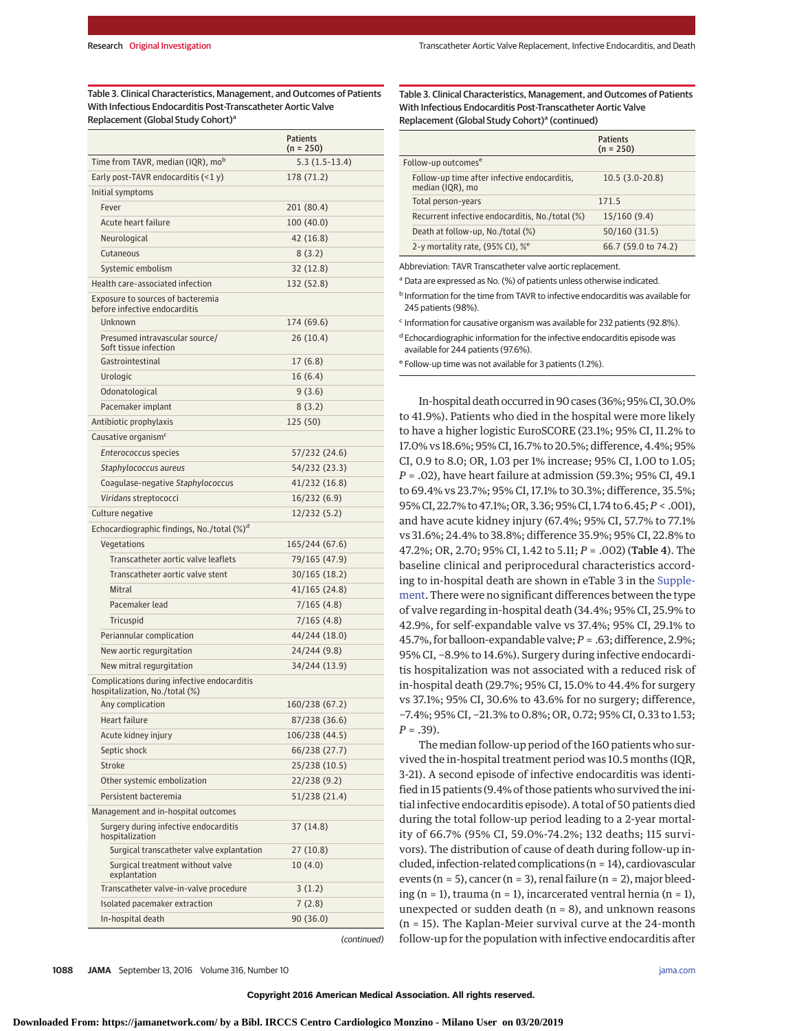Table 3. Clinical Characteristics, Management, and Outcomes of Patients With Infectious Endocarditis Post-Transcatheter Aortic Valve Replacement (Global Study Cohort)<sup>a</sup>

|                                                                               | <b>Patients</b><br>$(n = 250)$ |
|-------------------------------------------------------------------------------|--------------------------------|
| Time from TAVR, median (IQR), mo <sup>b</sup>                                 | $5.3(1.5-13.4)$                |
| Early post-TAVR endocarditis $(2y)$                                           | 178 (71.2)                     |
| Initial symptoms                                                              |                                |
| Fever                                                                         | 201 (80.4)                     |
| Acute heart failure                                                           | 100 (40.0)                     |
| Neurological                                                                  | 42 (16.8)                      |
| Cutaneous                                                                     | 8(3.2)                         |
| Systemic embolism                                                             | 32 (12.8)                      |
| Health care-associated infection                                              | 132 (52.8)                     |
| Exposure to sources of bacteremia<br>before infective endocarditis            |                                |
| Unknown                                                                       | 174 (69.6)                     |
| Presumed intravascular source/<br>Soft tissue infection                       | 26 (10.4)                      |
| Gastrointestinal                                                              | 17(6.8)                        |
| Urologic                                                                      | 16 (6.4)                       |
| Odonatological                                                                | 9(3.6)                         |
| Pacemaker implant                                                             | 8(3.2)                         |
| Antibiotic prophylaxis                                                        | 125 (50)                       |
| Causative organism <sup>c</sup>                                               |                                |
| Enterococcus species                                                          | 57/232 (24.6)                  |
| Staphylococcus aureus                                                         | 54/232 (23.3)                  |
| Coagulase-negative Staphylococcus                                             | 41/232 (16.8)                  |
| Viridans streptococci                                                         | 16/232 (6.9)                   |
| Culture negative                                                              | 12/232 (5.2)                   |
| Echocardiographic findings, No./total $(\%)^d$                                |                                |
| Vegetations                                                                   | 165/244 (67.6)                 |
| Transcatheter aortic valve leaflets                                           | 79/165 (47.9)                  |
| Transcatheter aortic valve stent                                              | 30/165 (18.2)                  |
| Mitral                                                                        | 41/165 (24.8)                  |
| Pacemaker lead                                                                | 7/165 (4.8)                    |
| Tricuspid                                                                     | 7/165 (4.8)                    |
| Periannular complication                                                      | 44/244 (18.0)                  |
| New aortic regurgitation                                                      | 24/244 (9.8)                   |
| New mitral regurgitation                                                      | 34/244 (13.9)                  |
| Complications during infective endocarditis<br>hospitalization, No./total (%) |                                |
| Any complication                                                              | 160/238 (67.2)                 |
| Heart failure                                                                 | 87/238 (36.6)                  |
| Acute kidney injury                                                           | 106/238 (44.5)                 |
| Septic shock                                                                  | 66/238 (27.7)                  |
| Stroke                                                                        | 25/238 (10.5)                  |
| Other systemic embolization                                                   | 22/238 (9.2)                   |
| Persistent bacteremia                                                         | 51/238 (21.4)                  |
| Management and in-hospital outcomes                                           |                                |
| Surgery during infective endocarditis<br>hospitalization                      | 37 (14.8)                      |
| Surgical transcatheter valve explantation                                     | 27 (10.8)                      |
| Surgical treatment without valve<br>explantation                              | 10(4.0)                        |
| Transcatheter valve-in-valve procedure                                        | 3(1.2)                         |
| Isolated pacemaker extraction                                                 | 7(2.8)                         |
| In-hospital death                                                             | 90 (36.0)                      |
|                                                                               | (continued)                    |

Table 3. Clinical Characteristics, Management, and Outcomes of Patients With Infectious Endocarditis Post-Transcatheter Aortic Valve Replacement (Global Study Cohort)<sup>a</sup> (continued)

|                                                                  | <b>Patients</b><br>$(n = 250)$ |
|------------------------------------------------------------------|--------------------------------|
| Follow-up outcomes <sup>e</sup>                                  |                                |
| Follow-up time after infective endocarditis,<br>median (IQR), mo | $10.5(3.0-20.8)$               |
| Total person-years                                               | 171.5                          |
| Recurrent infective endocarditis, No./total (%)                  | 15/160(9.4)                    |
| Death at follow-up, No./total (%)                                | 50/160(31.5)                   |
| 2-y mortality rate, (95% CI), % <sup>e</sup>                     | 66.7 (59.0 to 74.2)            |

Abbreviation: TAVR Transcatheter valve aortic replacement.

<sup>a</sup> Data are expressed as No. (%) of patients unless otherwise indicated.

<sup>b</sup> Information for the time from TAVR to infective endocarditis was available for 245 patients (98%).

<sup>c</sup> Information for causative organism was available for 232 patients (92.8%).

 $d$  Echocardiographic information for the infective endocarditis episode was available for 244 patients (97.6%).

<sup>e</sup> Follow-up time was not available for 3 patients (1.2%).

In-hospital death occurred in 90 cases (36%; 95% CI, 30.0% to 41.9%). Patients who died in the hospital were more likely to have a higher logistic EuroSCORE (23.1%; 95% CI, 11.2% to 17.0% vs 18.6%; 95% CI, 16.7% to 20.5%; difference, 4.4%; 95% CI, 0.9 to 8.0; OR, 1.03 per 1% increase; 95% CI, 1.00 to 1.05; *P* = .02), have heart failure at admission (59.3%; 95% CI, 49.1 to 69.4% vs 23.7%; 95% CI, 17.1% to 30.3%; difference, 35.5%; 95% CI, 22.7% to 47.1%; OR, 3.36; 95% CI, 1.74 to 6.45;*P* < .001), and have acute kidney injury (67.4%; 95% CI, 57.7% to 77.1% vs 31.6%; 24.4% to 38.8%; difference 35.9%; 95% CI, 22.8% to 47.2%; OR, 2.70; 95% CI, 1.42 to 5.11; *P* = .002) (Table 4). The baseline clinical and periprocedural characteristics according to in-hospital death are shown in eTable 3 in the [Supple](http://jama.jamanetwork.com/article.aspx?doi=10.1001/jama.2016.12347&utm_campaign=articlePDF%26utm_medium=articlePDFlink%26utm_source=articlePDF%26utm_content=jama.2016.12347)[ment.](http://jama.jamanetwork.com/article.aspx?doi=10.1001/jama.2016.12347&utm_campaign=articlePDF%26utm_medium=articlePDFlink%26utm_source=articlePDF%26utm_content=jama.2016.12347) There were no significant differences between the type of valve regarding in-hospital death (34.4%; 95% CI, 25.9% to 42.9%, for self-expandable valve vs 37.4%; 95% CI, 29.1% to 45.7%, for balloon-expandable valve;*P* = .63; difference, 2.9%; 95% CI, −8.9% to 14.6%). Surgery during infective endocarditis hospitalization was not associated with a reduced risk of in-hospital death (29.7%; 95% CI, 15.0% to 44.4% for surgery vs 37.1%; 95% CI, 30.6% to 43.6% for no surgery; difference, −7.4%; 95% CI, −21.3% to 0.8%; OR, 0.72; 95% CI, 0.33 to 1.53; *P* = .39).

The median follow-up period of the 160 patients who survived the in-hospital treatment period was 10.5 months (IQR, 3-21). A second episode of infective endocarditis was identified in 15 patients (9.4% of those patients who survived the initial infective endocarditis episode). A total of 50 patients died during the total follow-up period leading to a 2-year mortality of 66.7% (95% CI, 59.0%-74.2%; 132 deaths; 115 survivors). The distribution of cause of death during follow-up included, infection-related complications (n = 14), cardiovascular events (n = 5), cancer (n = 3), renal failure (n = 2), major bleeding (n = 1), trauma (n = 1), incarcerated ventral hernia (n = 1), unexpected or sudden death  $(n = 8)$ , and unknown reasons (n = 15). The Kaplan-Meier survival curve at the 24-month follow-up for the population with infective endocarditis after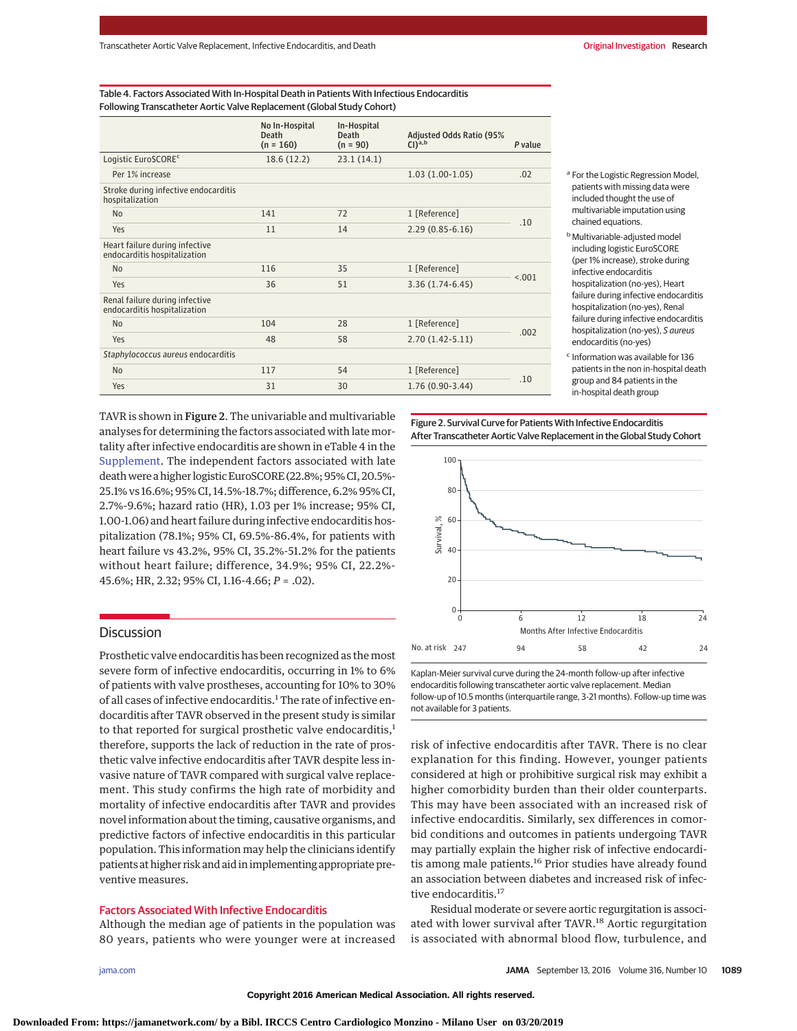Table 4. Factors Associated With In-Hospital Death in Patients With Infectious Endocarditis Following Transcatheter Aortic Valve Replacement (Global Study Cohort)

|                                                                | No In-Hospital<br>Death<br>$(n = 160)$ | In-Hospital<br><b>Death</b><br>$(n = 90)$ | <b>Adjusted Odds Ratio (95%</b><br>$Cl)^{a,b}$ | P value |  |
|----------------------------------------------------------------|----------------------------------------|-------------------------------------------|------------------------------------------------|---------|--|
| Logistic EuroSCORE <sup>c</sup>                                | 18.6 (12.2)                            | 23.1(14.1)                                |                                                |         |  |
| Per 1% increase                                                |                                        |                                           | $1.03(1.00-1.05)$                              | .02     |  |
| Stroke during infective endocarditis<br>hospitalization        |                                        |                                           |                                                |         |  |
| N <sub>0</sub>                                                 | 141                                    | 72                                        | 1 [Reference]                                  | .10     |  |
| Yes                                                            | 11                                     | 14                                        | $2.29(0.85 - 6.16)$                            |         |  |
| Heart failure during infective<br>endocarditis hospitalization |                                        |                                           |                                                |         |  |
| N <sub>0</sub>                                                 | 116                                    | 35                                        | 1 [Reference]                                  |         |  |
| Yes                                                            | 36                                     | 51                                        | $3.36(1.74-6.45)$                              | < 0.01  |  |
| Renal failure during infective<br>endocarditis hospitalization |                                        |                                           |                                                |         |  |
| N <sub>0</sub>                                                 | 104                                    | 28                                        | 1 [Reference]                                  |         |  |
| Yes                                                            | 48                                     | 58                                        | $2.70(1.42 - 5.11)$                            | .002    |  |
| Staphylococcus aureus endocarditis                             |                                        |                                           |                                                |         |  |
| N <sub>0</sub>                                                 | 117                                    | 54                                        | 1 [Reference]                                  |         |  |
| Yes                                                            | 31                                     | 30                                        | $1.76(0.90-3.44)$                              | .10     |  |

<sup>a</sup> For the Logistic Regression Model, patients with missing data were included thought the use of multivariable imputation using chained equations.

**b** Multivariable-adjusted model including logistic EuroSCORE (per 1% increase), stroke during infective endocarditis hospitalization (no-yes), Heart failure during infective endocarditis hospitalization (no-yes), Renal failure during infective endocarditis hospitalization (no-yes), S aureus endocarditis (no-yes)

<sup>c</sup> Information was available for 136 patients in the non in-hospital death group and 84 patients in the in-hospital death group

TAVR is shown in Figure 2. The univariable and multivariable analyses for determining the factors associated with late mortality after infective endocarditis are shown in eTable 4 in the [Supplement.](http://jama.jamanetwork.com/article.aspx?doi=10.1001/jama.2016.12347&utm_campaign=articlePDF%26utm_medium=articlePDFlink%26utm_source=articlePDF%26utm_content=jama.2016.12347) The independent factors associated with late deathwere a higher logistic EuroSCORE (22.8%; 95% CI, 20.5%- 25.1% vs 16.6%; 95% CI, 14.5%-18.7%; difference, 6.2% 95% CI, 2.7%-9.6%; hazard ratio (HR), 1.03 per 1% increase; 95% CI, 1.00-1.06) and heart failure during infective endocarditis hospitalization (78.1%; 95% CI, 69.5%-86.4%, for patients with heart failure vs 43.2%, 95% CI, 35.2%-51.2% for the patients without heart failure; difference, 34.9%; 95% CI, 22.2%- 45.6%; HR, 2.32; 95% CI, 1.16-4.66; *P* = .02).

# Discussion

Prosthetic valve endocarditis has been recognized as the most severe form of infective endocarditis, occurring in 1% to 6% of patients with valve prostheses, accounting for 10% to 30% of all cases of infective endocarditis.<sup>1</sup> The rate of infective endocarditis after TAVR observed in the present study is similar to that reported for surgical prosthetic valve endocarditis,<sup>1</sup> therefore, supports the lack of reduction in the rate of prosthetic valve infective endocarditis after TAVR despite less invasive nature of TAVR compared with surgical valve replacement. This study confirms the high rate of morbidity and mortality of infective endocarditis after TAVR and provides novel information about the timing, causative organisms, and predictive factors of infective endocarditis in this particular population. This information may help the clinicians identify patients at higher risk and aid in implementing appropriate preventive measures.

# Factors Associated With Infective Endocarditis

Although the median age of patients in the population was 80 years, patients who were younger were at increased Figure 2. Survival Curve for Patients With Infective Endocarditis After Transcatheter Aortic Valve Replacement in the Global Study Cohort



Kaplan-Meier survival curve during the 24-month follow-up after infective endocarditis following transcatheter aortic valve replacement. Median follow-up of 10.5 months (interquartile range, 3-21 months). Follow-up time was not available for 3 patients.

risk of infective endocarditis after TAVR. There is no clear explanation for this finding. However, younger patients considered at high or prohibitive surgical risk may exhibit a higher comorbidity burden than their older counterparts. This may have been associated with an increased risk of infective endocarditis. Similarly, sex differences in comorbid conditions and outcomes in patients undergoing TAVR may partially explain the higher risk of infective endocarditis among male patients.<sup>16</sup> Prior studies have already found an association between diabetes and increased risk of infective endocarditis.<sup>17</sup>

Residual moderate or severe aortic regurgitation is associated with lower survival after TAVR.<sup>18</sup> Aortic regurgitation is associated with abnormal blood flow, turbulence, and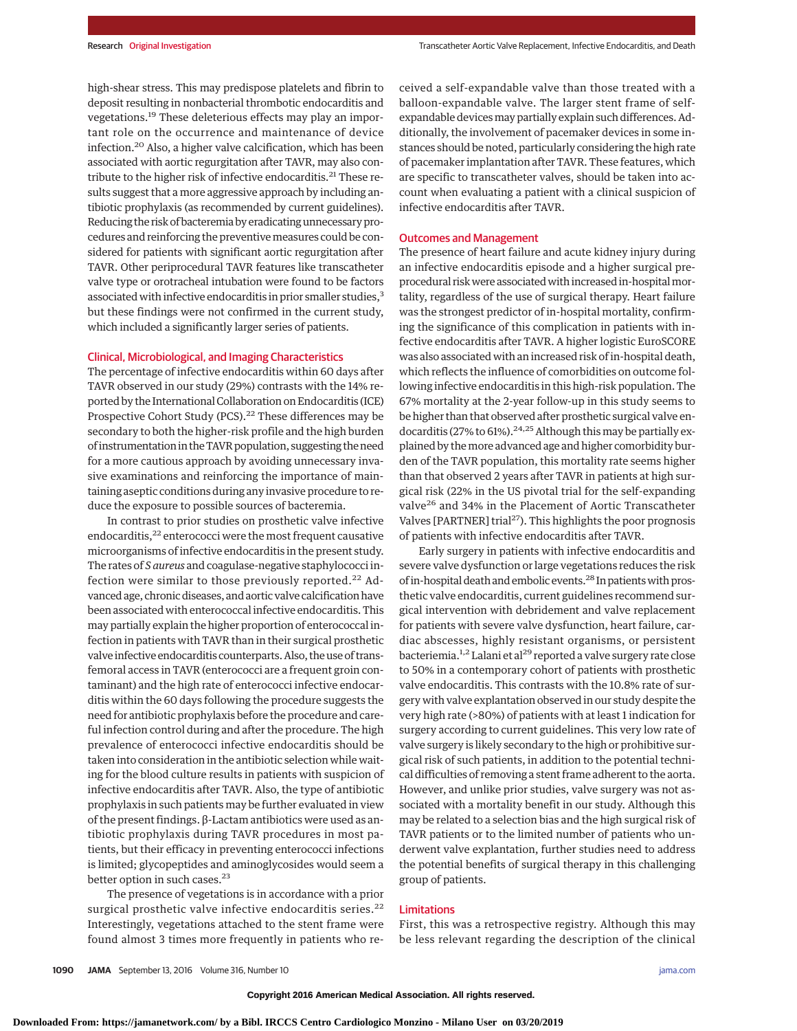high-shear stress. This may predispose platelets and fibrin to deposit resulting in nonbacterial thrombotic endocarditis and vegetations.<sup>19</sup> These deleterious effects may play an important role on the occurrence and maintenance of device infection.20 Also, a higher valve calcification, which has been associated with aortic regurgitation after TAVR, may also contribute to the higher risk of infective endocarditis.<sup>21</sup> These results suggest that a more aggressive approach by including antibiotic prophylaxis (as recommended by current guidelines). Reducing the risk of bacteremia by eradicating unnecessary procedures and reinforcing the preventivemeasures could be considered for patients with significant aortic regurgitation after TAVR. Other periprocedural TAVR features like transcatheter valve type or orotracheal intubation were found to be factors associated with infective endocarditis in prior smaller studies,<sup>3</sup> but these findings were not confirmed in the current study, which included a significantly larger series of patients.

# Clinical, Microbiological, and Imaging Characteristics

The percentage of infective endocarditis within 60 days after TAVR observed in our study (29%) contrasts with the 14% reported by the International Collaboration on Endocarditis (ICE) Prospective Cohort Study (PCS).<sup>22</sup> These differences may be secondary to both the higher-risk profile and the high burden of instrumentation in the TAVR population, suggesting the need for a more cautious approach by avoiding unnecessary invasive examinations and reinforcing the importance of maintaining aseptic conditions during any invasive procedure to reduce the exposure to possible sources of bacteremia.

In contrast to prior studies on prosthetic valve infective endocarditis,<sup>22</sup> enterococci were the most frequent causative microorganisms of infective endocarditis in the present study. The rates of *S aureus* and coagulase-negative staphylococci infection were similar to those previously reported.<sup>22</sup> Advanced age, chronic diseases, and aortic valve calcification have been associated with enterococcal infective endocarditis. This may partially explain the higher proportion of enterococcal infection in patients with TAVR than in their surgical prosthetic valve infective endocarditis counterparts. Also, the use of transfemoral access in TAVR (enterococci are a frequent groin contaminant) and the high rate of enterococci infective endocarditis within the 60 days following the procedure suggests the need for antibiotic prophylaxis before the procedure and careful infection control during and after the procedure. The high prevalence of enterococci infective endocarditis should be taken into consideration in the antibiotic selection while waiting for the blood culture results in patients with suspicion of infective endocarditis after TAVR. Also, the type of antibiotic prophylaxis in such patients may be further evaluated in view of the present findings. β-Lactam antibiotics were used as antibiotic prophylaxis during TAVR procedures in most patients, but their efficacy in preventing enterococci infections is limited; glycopeptides and aminoglycosides would seem a better option in such cases.<sup>23</sup>

The presence of vegetations is in accordance with a prior surgical prosthetic valve infective endocarditis series.<sup>22</sup> Interestingly, vegetations attached to the stent frame were found almost 3 times more frequently in patients who received a self-expandable valve than those treated with a balloon-expandable valve. The larger stent frame of selfexpandable devicesmay partially explain such differences. Additionally, the involvement of pacemaker devices in some instances should be noted, particularly considering the high rate of pacemaker implantation after TAVR. These features, which are specific to transcatheter valves, should be taken into account when evaluating a patient with a clinical suspicion of infective endocarditis after TAVR.

# Outcomes and Management

The presence of heart failure and acute kidney injury during an infective endocarditis episode and a higher surgical preprocedural risk were associated with increased in-hospital mortality, regardless of the use of surgical therapy. Heart failure was the strongest predictor of in-hospital mortality, confirming the significance of this complication in patients with infective endocarditis after TAVR. A higher logistic EuroSCORE was also associated with an increased risk of in-hospital death, which reflects the influence of comorbidities on outcome following infective endocarditis in this high-risk population. The 67% mortality at the 2-year follow-up in this study seems to be higher than that observed after prosthetic surgical valve endocarditis (27% to 61%).<sup>24,25</sup> Although this may be partially explained by themore advanced age and higher comorbidity burden of the TAVR population, this mortality rate seems higher than that observed 2 years after TAVR in patients at high surgical risk (22% in the US pivotal trial for the self-expanding valve<sup>26</sup> and 34% in the Placement of Aortic Transcatheter Valves [PARTNER] trial<sup>27</sup>). This highlights the poor prognosis of patients with infective endocarditis after TAVR.

Early surgery in patients with infective endocarditis and severe valve dysfunction or large vegetations reduces the risk of in-hospital death and embolic events.<sup>28</sup> In patients with prosthetic valve endocarditis, current guidelines recommend surgical intervention with debridement and valve replacement for patients with severe valve dysfunction, heart failure, cardiac abscesses, highly resistant organisms, or persistent bacteriemia.<sup>1,2</sup> Lalani et al<sup>29</sup> reported a valve surgery rate close to 50% in a contemporary cohort of patients with prosthetic valve endocarditis. This contrasts with the 10.8% rate of surgery with valve explantation observed in our study despite the very high rate (>80%) of patients with at least 1 indication for surgery according to current guidelines. This very low rate of valve surgery is likely secondary to the high or prohibitive surgical risk of such patients, in addition to the potential technical difficulties of removing a stent frame adherent to the aorta. However, and unlike prior studies, valve surgery was not associated with a mortality benefit in our study. Although this may be related to a selection bias and the high surgical risk of TAVR patients or to the limited number of patients who underwent valve explantation, further studies need to address the potential benefits of surgical therapy in this challenging group of patients.

## Limitations

First, this was a retrospective registry. Although this may be less relevant regarding the description of the clinical

**Downloaded From: https://jamanetwork.com/ by a Bibl. IRCCS Centro Cardiologico Monzino - Milano User on 03/20/2019**

**Copyright 2016 American Medical Association. All rights reserved.**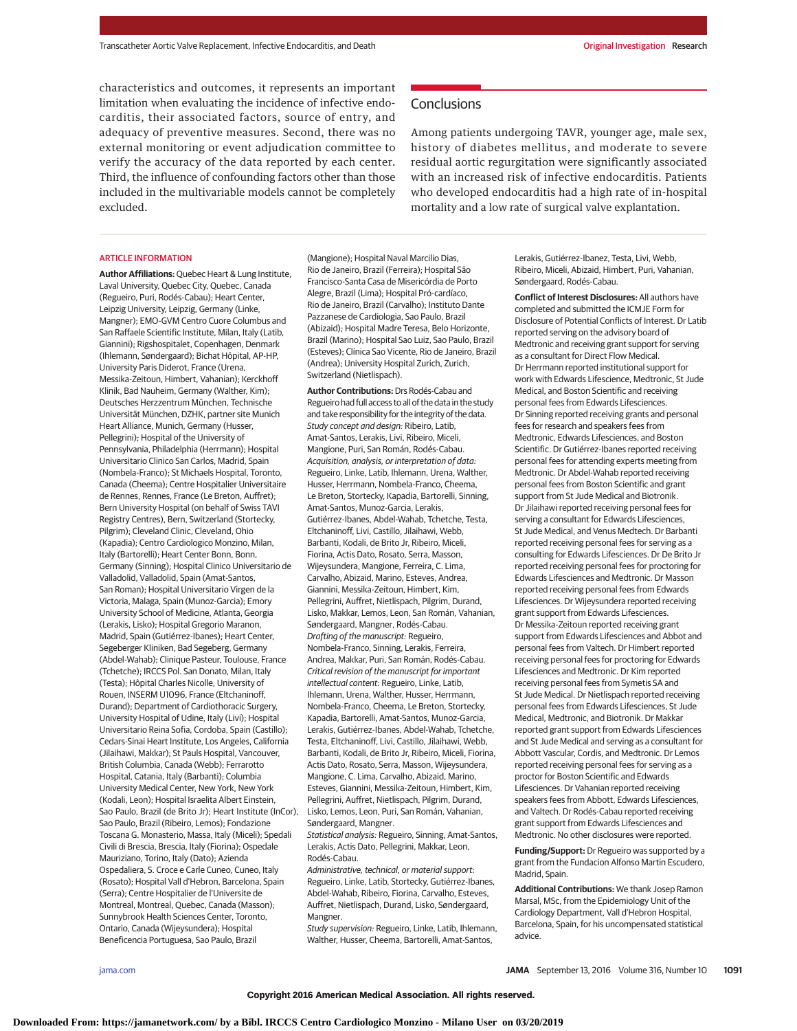characteristics and outcomes, it represents an important limitation when evaluating the incidence of infective endocarditis, their associated factors, source of entry, and adequacy of preventive measures. Second, there was no external monitoring or event adjudication committee to verify the accuracy of the data reported by each center. Third, the influence of confounding factors other than those included in the multivariable models cannot be completely excluded.

#### ARTICLE INFORMATION

**Author Affiliations:** Quebec Heart & Lung Institute, Laval University, Quebec City, Quebec, Canada (Regueiro, Puri, Rodés-Cabau); Heart Center, Leipzig University, Leipzig, Germany (Linke, Mangner); EMO-GVM Centro Cuore Columbus and San Raffaele Scientific Institute, Milan, Italy (Latib, Giannini); Rigshospitalet, Copenhagen, Denmark (Ihlemann, Søndergaard); Bichat Hôpital, AP-HP, University Paris Diderot, France (Urena, Messika-Zeitoun, Himbert, Vahanian); Kerckhoff Klinik, Bad Nauheim, Germany (Walther, Kim); Deutsches Herzzentrum München, Technische Universität München, DZHK, partner site Munich Heart Alliance, Munich, Germany (Husser, Pellegrini); Hospital of the University of Pennsylvania, Philadelphia (Herrmann); Hospital Universitario Clinico San Carlos, Madrid, Spain (Nombela-Franco); St Michaels Hospital, Toronto, Canada (Cheema); Centre Hospitalier Universitaire de Rennes, Rennes, France (Le Breton, Auffret); Bern University Hospital (on behalf of Swiss TAVI Registry Centres), Bern, Switzerland (Stortecky, Pilgrim); Cleveland Clinic, Cleveland, Ohio (Kapadia); Centro Cardiologico Monzino, Milan, Italy (Bartorelli); Heart Center Bonn, Bonn, Germany (Sinning); Hospital Clinico Universitario de Valladolid, Valladolid, Spain (Amat-Santos, San Roman); Hospital Universitario Virgen de la Victoria, Malaga, Spain (Munoz-Garcia); Emory University School of Medicine, Atlanta, Georgia (Lerakis, Lisko); Hospital Gregorio Maranon, Madrid, Spain (Gutiérrez-Ibanes); Heart Center, Segeberger Kliniken, Bad Segeberg, Germany (Abdel-Wahab); Clinique Pasteur, Toulouse, France (Tchetche); IRCCS Pol. San Donato, Milan, Italy (Testa); Hôpital Charles Nicolle, University of Rouen, INSERM U1096, France (Eltchaninoff, Durand); Department of Cardiothoracic Surgery, University Hospital of Udine, Italy (Livi); Hospital Universitario Reina Sofia, Cordoba, Spain (Castillo); Cedars-Sinai Heart Institute, Los Angeles, California (Jilaihawi, Makkar); St Pauls Hospital, Vancouver, British Columbia, Canada (Webb); Ferrarotto Hospital, Catania, Italy (Barbanti); Columbia University Medical Center, New York, New York (Kodali, Leon); Hospital Israelita Albert Einstein, Sao Paulo, Brazil (de Brito Jr); Heart Institute (InCor), Sao Paulo, Brazil (Ribeiro, Lemos); Fondazione Toscana G. Monasterio, Massa, Italy (Miceli); Spedali Civili di Brescia, Brescia, Italy (Fiorina); Ospedale Mauriziano, Torino, Italy (Dato); Azienda Ospedaliera, S. Croce e Carle Cuneo, Cuneo, Italy (Rosato); Hospital Vall d'Hebron, Barcelona, Spain (Serra); Centre Hospitalier de l'Universite de Montreal, Montreal, Quebec, Canada (Masson); Sunnybrook Health Sciences Center, Toronto, Ontario, Canada (Wijeysundera); Hospital Beneficencia Portuguesa, Sao Paulo, Brazil

(Mangione); Hospital Naval Marcilio Dias, Rio de Janeiro, Brazil (Ferreira); Hospital São Francisco-Santa Casa de Misericórdia de Porto Alegre, Brazil (Lima); Hospital Pró-cardíaco, Rio de Janeiro, Brazil (Carvalho); Instituto Dante Pazzanese de Cardiologia, Sao Paulo, Brazil (Abizaid); Hospital Madre Teresa, Belo Horizonte, Brazil (Marino); Hospital Sao Luiz, Sao Paulo, Brazil (Esteves); Clínica Sao Vicente, Rio de Janeiro, Brazil (Andrea); University Hospital Zurich, Zurich, Switzerland (Nietlispach).

**Author Contributions:** Drs Rodés-Cabau and Regueiro had full access to all of the data in the study and take responsibility for the integrity of the data. Study concept and design: Ribeiro, Latib, Amat-Santos, Lerakis, Livi, Ribeiro, Miceli, Mangione, Puri, San Román, Rodés-Cabau. Acquisition, analysis, or interpretation of data: Regueiro, Linke, Latib, Ihlemann, Urena, Walther, Husser, Herrmann, Nombela-Franco, Cheema, Le Breton, Stortecky, Kapadia, Bartorelli, Sinning, Amat-Santos, Munoz-Garcia, Lerakis, Gutiérrez-Ibanes, Abdel-Wahab, Tchetche, Testa, Eltchaninoff, Livi, Castillo, Jilaihawi, Webb, Barbanti, Kodali, de Brito Jr, Ribeiro, Miceli, Fiorina, Actis Dato, Rosato, Serra, Masson, Wijeysundera, Mangione, Ferreira, C. Lima, Carvalho, Abizaid, Marino, Esteves, Andrea, Giannini, Messika-Zeitoun, Himbert, Kim, Pellegrini, Auffret, Nietlispach, Pilgrim, Durand, Lisko, Makkar, Lemos, Leon, San Román, Vahanian, Søndergaard, Mangner, Rodés-Cabau. Drafting of the manuscript: Regueiro, Nombela-Franco, Sinning, Lerakis, Ferreira, Andrea, Makkar, Puri, San Román, Rodés-Cabau. Critical revision of the manuscript for important intellectual content: Regueiro, Linke, Latib, Ihlemann, Urena, Walther, Husser, Herrmann, Nombela-Franco, Cheema, Le Breton, Stortecky, Kapadia, Bartorelli, Amat-Santos, Munoz-Garcia, Lerakis, Gutiérrez-Ibanes, Abdel-Wahab, Tchetche, Testa, Eltchaninoff, Livi, Castillo, Jilaihawi, Webb, Barbanti, Kodali, de Brito Jr, Ribeiro, Miceli, Fiorina, Actis Dato, Rosato, Serra, Masson, Wijeysundera, Mangione, C. Lima, Carvalho, Abizaid, Marino, Esteves, Giannini, Messika-Zeitoun, Himbert, Kim, Pellegrini, Auffret, Nietlispach, Pilgrim, Durand, Lisko, Lemos, Leon, Puri, San Román, Vahanian, Søndergaard, Mangner.

Statistical analysis: Regueiro, Sinning, Amat-Santos, Lerakis, Actis Dato, Pellegrini, Makkar, Leon, Rodés-Cabau.

Administrative, technical, or material support: Regueiro, Linke, Latib, Stortecky, Gutiérrez-Ibanes, Abdel-Wahab, Ribeiro, Fiorina, Carvalho, Esteves, Auffret, Nietlispach, Durand, Lisko, Søndergaard, Mangner.

Study supervision: Regueiro, Linke, Latib, Ihlemann, Walther, Husser, Cheema, Bartorelli, Amat-Santos,

**Conclusions** 

Among patients undergoing TAVR, younger age, male sex, history of diabetes mellitus, and moderate to severe residual aortic regurgitation were significantly associated with an increased risk of infective endocarditis. Patients who developed endocarditis had a high rate of in-hospital mortality and a low rate of surgical valve explantation.

> Lerakis, Gutiérrez-Ibanez, Testa, Livi, Webb, Ribeiro, Miceli, Abizaid, Himbert, Puri, Vahanian, Søndergaard, Rodés-Cabau.

**Conflict of Interest Disclosures:** All authors have completed and submitted the ICMJE Form for Disclosure of Potential Conflicts of Interest. Dr Latib reported serving on the advisory board of Medtronic and receiving grant support for serving as a consultant for Direct Flow Medical. Dr Herrmann reported institutional support for work with Edwards Lifescience, Medtronic, St Jude Medical, and Boston Scientific and receiving personal fees from Edwards Lifesciences. Dr Sinning reported receiving grants and personal fees for research and speakers fees from Medtronic, Edwards Lifesciences, and Boston Scientific. Dr Gutiérrez-Ibanes reported receiving personal fees for attending experts meeting from Medtronic. Dr Abdel-Wahab reported receiving personal fees from Boston Scientific and grant support from St Jude Medical and Biotronik. Dr Jilaihawi reported receiving personal fees for serving a consultant for Edwards Lifesciences, St Jude Medical, and Venus Medtech. Dr Barbanti reported receiving personal fees for serving as a consulting for Edwards Lifesciences. Dr De Brito Jr reported receiving personal fees for proctoring for Edwards Lifesciences and Medtronic. Dr Masson reported receiving personal fees from Edwards Lifesciences. Dr Wijeysundera reported receiving grant support from Edwards Lifesciences. Dr Messika-Zeitoun reported receiving grant support from Edwards Lifesciences and Abbot and personal fees from Valtech. Dr Himbert reported receiving personal fees for proctoring for Edwards Lifesciences and Medtronic. Dr Kim reported receiving personal fees from Symetis SA and St Jude Medical. Dr Nietlispach reported receiving personal fees from Edwards Lifesciences, St Jude Medical, Medtronic, and Biotronik. Dr Makkar reported grant support from Edwards Lifesciences and St Jude Medical and serving as a consultant for Abbott Vascular, Cordis, and Medtronic. Dr Lemos reported receiving personal fees for serving as a proctor for Boston Scientific and Edwards Lifesciences. Dr Vahanian reported receiving speakers fees from Abbott, Edwards Lifesciences, and Valtech. Dr Rodés-Cabau reported receiving grant support from Edwards Lifesciences and Medtronic. No other disclosures were reported.

**Funding/Support:** Dr Regueiro was supported by a grant from the Fundacion Alfonso Martin Escudero, Madrid, Spain.

**Additional Contributions:** We thank Josep Ramon Marsal, MSc, from the Epidemiology Unit of the Cardiology Department, Vall d'Hebron Hospital, Barcelona, Spain, for his uncompensated statistical advice.